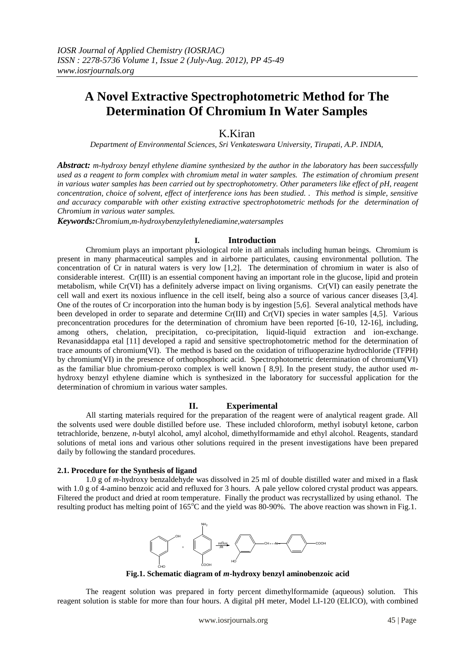# **A Novel Extractive Spectrophotometric Method for The Determination Of Chromium In Water Samples**

## K.Kiran

*Department of Environmental Sciences, Sri Venkateswara University, Tirupati, A.P. INDIA,* 

*Abstract: m-hydroxy benzyl ethylene diamine synthesized by the author in the laboratory has been successfully used as a reagent to form complex with chromium metal in water samples. The estimation of chromium present in various water samples has been carried out by spectrophotometry. Other parameters like effect of pH, reagent concentration, choice of solvent, effect of interference ions has been studied. . This method is simple, sensitive and accuracy comparable with other existing extractive spectrophotometric methods for the determination of Chromium in various water samples.*

*Keywords:Chromium,m-hydroxybenzylethylenediamine,watersamples*

## **I. Introduction**

Chromium plays an important physiological role in all animals including human beings. Chromium is present in many pharmaceutical samples and in airborne particulates, causing environmental pollution. The concentration of Cr in natural waters is very low [1,2]. The determination of chromium in water is also of considerable interest. Cr(III) is an essential component having an important role in the glucose, lipid and protein metabolism, while Cr(VI) has a definitely adverse impact on living organisms. Cr(VI) can easily penetrate the cell wall and exert its noxious influence in the cell itself, being also a source of various cancer diseases [3,4]. One of the routes of Cr incorporation into the human body is by ingestion [5,6]. Several analytical methods have been developed in order to separate and determine Cr(III) and Cr(VI) species in water samples [4,5]. Various preconcentration procedures for the determination of chromium have been reported [6-10, 12-16], including, among others, chelation, precipitation, co-precipitation, liquid-liquid extraction and ion-exchange. Revanasiddappa etal [11] developed a rapid and sensitive spectrophotometric method for the determination of trace amounts of chromium(VI). The method is based on the oxidation of trifluoperazine hydrochloride (TFPH) by chromium(VI) in the presence of orthophosphoric acid. Spectrophotometric determination of chromium(VI) as the familiar blue chromium-peroxo complex is well known [ 8,9]. In the present study, the author used *m*hydroxy benzyl ethylene diamine which is synthesized in the laboratory for successful application for the determination of chromium in various water samples.

## **II. Experimental**

All starting materials required for the preparation of the reagent were of analytical reagent grade. All the solvents used were double distilled before use. These included chloroform, methyl isobutyl ketone, carbon tetrachloride, benzene, *n*-butyl alcohol, amyl alcohol, dimethylformamide and ethyl alcohol. Reagents, standard solutions of metal ions and various other solutions required in the present investigations have been prepared daily by following the standard procedures.

#### **2.1. Procedure for the Synthesis of ligand**

1.0 g of *m*-hydroxy benzaldehyde was dissolved in 25 ml of double distilled water and mixed in a flask with 1.0 g of 4-amino benzoic acid and refluxed for 3 hours. A pale yellow colored crystal product was appears. Filtered the product and dried at room temperature. Finally the product was recrystallized by using ethanol. The resulting product has melting point of  $165^{\circ}$ C and the yield was 80-90%. The above reaction was shown in Fig.1.



**Fig.1. Schematic diagram of** *m***-hydroxy benzyl aminobenzoic acid**

The reagent solution was prepared in forty percent dimethylformamide (aqueous) solution. This reagent solution is stable for more than four hours. A digital pH meter, Model LI-120 (ELICO), with combined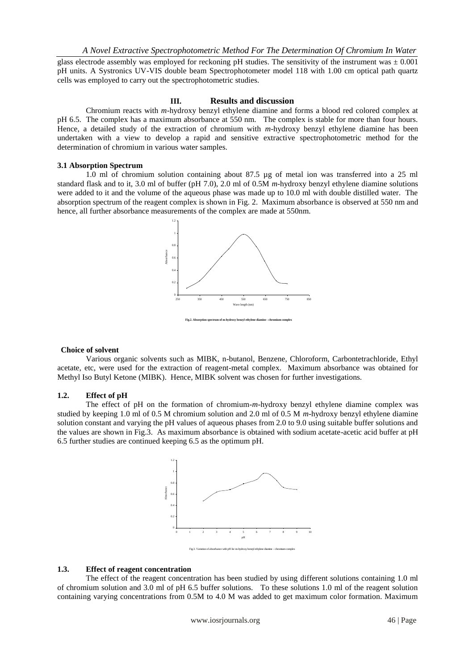glass electrode assembly was employed for reckoning pH studies. The sensitivity of the instrument was  $\pm 0.001$ pH units. A Systronics UV-VIS double beam Spectrophotometer model 118 with 1.00 cm optical path quartz cells was employed to carry out the spectrophotometric studies.

## **III. Results and discussion**

Chromium reacts with *m*-hydroxy benzyl ethylene diamine and forms a blood red colored complex at pH 6.5. The complex has a maximum absorbance at 550 nm. The complex is stable for more than four hours. Hence, a detailed study of the extraction of chromium with *m*-hydroxy benzyl ethylene diamine has been undertaken with a view to develop a rapid and sensitive extractive spectrophotometric method for the determination of chromium in various water samples.

## **3.1 Absorption Spectrum**

1.0 ml of chromium solution containing about 87.5 µg of metal ion was transferred into a 25 ml standard flask and to it, 3.0 ml of buffer (pH 7.0), 2.0 ml of 0.5M *m*-hydroxy benzyl ethylene diamine solutions were added to it and the volume of the aqueous phase was made up to 10.0 ml with double distilled water. The absorption spectrum of the reagent complex is shown in Fig. 2. Maximum absorbance is observed at 550 nm and hence, all further absorbance measurements of the complex are made at 550nm.



#### **Choice of solvent**

Various organic solvents such as MIBK, n-butanol, Benzene, Chloroform, Carbontetrachloride, Ethyl acetate, etc, were used for the extraction of reagent-metal complex. Maximum absorbance was obtained for Methyl Iso Butyl Ketone (MIBK). Hence, MIBK solvent was chosen for further investigations.

#### **1.2. Effect of pH**

The effect of pH on the formation of chromium-*m*-hydroxy benzyl ethylene diamine complex was studied by keeping 1.0 ml of 0.5 M chromium solution and 2.0 ml of 0.5 M *m*-hydroxy benzyl ethylene diamine solution constant and varying the pH values of aqueous phases from 2.0 to 9.0 using suitable buffer solutions and the values are shown in Fig.3. As maximum absorbance is obtained with sodium acetate-acetic acid buffer at pH 6.5 further studies are continued keeping 6.5 as the optimum pH.



## **1.3. Effect of reagent concentration**

The effect of the reagent concentration has been studied by using different solutions containing 1.0 ml of chromium solution and 3.0 ml of pH 6.5 buffer solutions. To these solutions 1.0 ml of the reagent solution containing varying concentrations from 0.5M to 4.0 M was added to get maximum color formation. Maximum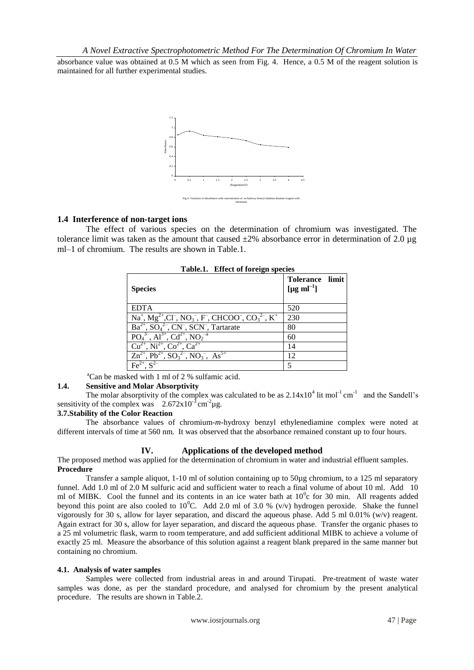absorbance value was obtained at 0.5 M which as seen from Fig. 4. Hence, a 0.5 M of the reagent solution is maintained for all further experimental studies.



## **1.4 Interference of non-target ions**

The effect of various species on the determination of chromium was investigated. The tolerance limit was taken as the amount that caused  $\pm 2\%$  absorbance error in determination of 2.0 µg ml–1 of chromium. The results are shown in Table.1.

| <b>Species</b>                                                                                                                                               | Tolerance limit<br>[µg ml <sup>-1</sup> ] |
|--------------------------------------------------------------------------------------------------------------------------------------------------------------|-------------------------------------------|
| <b>EDTA</b>                                                                                                                                                  | 520                                       |
| $Na^{+}$ , $Mg^{2+}$ , Cl <sup>-</sup> , NO <sub>3</sub> <sup>-</sup> , F <sup>-</sup> , CHCOO <sup>-</sup> , CO <sub>3</sub> <sup>2-</sup> , K <sup>+</sup> | 230                                       |
| $Ba^{2+}$ , $SO_4^{2-}$ , $CN^-$ , $SCN^-$ , Tartarate                                                                                                       | 80                                        |
| $PO_4^{3-}$ , Al <sup>3+</sup> , Cd <sup>2+</sup> , NO <sub>2</sub> <sup>-a</sup>                                                                            | 60                                        |
| $Cu^{2+}$ , Ni <sup>2+</sup> , Co <sup>2+</sup> , Ca <sup>2+</sup>                                                                                           | 14                                        |
| $Zn^{2+}$ , $Pb^{2+}$ , $SO_3^{2-}$ , $NO_3^-$ , $As^{5+}$                                                                                                   | 12                                        |
| $Fe^{2+}$ $S^{2-}$                                                                                                                                           | 5                                         |

**Table.1. Effect of foreign species**

 ${}^4$ Can be masked with 1 ml of 2 % sulfamic acid.

## **1.4. Sensitive and Molar Absorptivity**

The molar absorptivity of the complex was calculated to be as  $2.14 \times 10^4$  lit mol<sup>-1</sup> cm<sup>-1</sup> and the Sandell's sensitivity of the complex was  $2.672 \times 10^{-3}$  cm<sup>-2</sup> µg.

## **3.7.Stability of the Color Reaction**

The absorbance values of chromium-*m*-hydroxy benzyl ethylenediamine complex were noted at different intervals of time at 560 nm. It was observed that the absorbance remained constant up to four hours.

## **IV. Applications of the developed method**

The proposed method was applied for the determination of chromium in water and industrial effluent samples. **Procedure**

Transfer a sample aliquot, 1-10 ml of solution containing up to 50µg chromium, to a 125 ml separatory funnel. Add 1.0 ml of 2.0 M sulfuric acid and sufficient water to reach a final volume of about 10 ml. Add 10 ml of MIBK. Cool the funnel and its contents in an ice water bath at  $10^{\circ}$ c for 30 min. All reagents added beyond this point are also cooled to  $10^{\circ}$ C. Add 2.0 ml of 3.0 % (v/v) hydrogen peroxide. Shake the funnel vigorously for 30 s, allow for layer separation, and discard the aqueous phase. Add 5 ml 0.01% (w/v) reagent. Again extract for 30 s, allow for layer separation, and discard the aqueous phase. Transfer the organic phases to a 25 ml volumetric flask, warm to room temperature, and add sufficient additional MIBK to achieve a volume of exactly 25 ml. Measure the absorbance of this solution against a reagent blank prepared in the same manner but containing no chromium.

## **4.1. Analysis of water samples**

Samples were collected from industrial areas in and around Tirupati. Pre-treatment of waste water samples was done, as per the standard procedure, and analysed for chromium by the present analytical procedure. The results are shown in Table.2.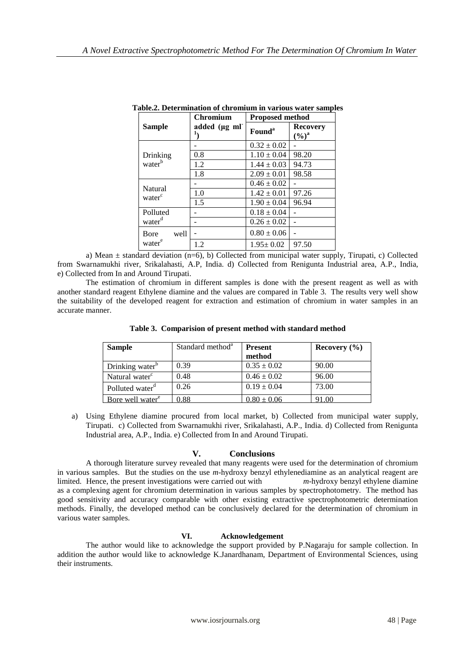|                                | <b>Chromium</b> | <b>Proposed method</b> |                                      |  |
|--------------------------------|-----------------|------------------------|--------------------------------------|--|
| <b>Sample</b>                  | added (µg ml    | Found <sup>a</sup>     | <b>Recovery</b><br>$(\frac{6}{9})^a$ |  |
| Drinking<br>water <sup>b</sup> |                 | $0.32 \pm 0.02$        |                                      |  |
|                                | 0.8             | $1.10 \pm 0.04$        | 98.20                                |  |
|                                | 1.2             | $1.44 \pm 0.03$        | 94.73                                |  |
|                                | 1.8             | $2.09 \pm 0.01$        | 98.58                                |  |
| Natural<br>water               |                 | $0.46 \pm 0.02$        |                                      |  |
|                                | 1.0             | $1.42 \pm 0.01$        | 97.26                                |  |
|                                | 1.5             | $1.90 \pm 0.04$        | 96.94                                |  |
| Polluted                       |                 | $0.18 \pm 0.04$        |                                      |  |
| water <sup>d</sup>             |                 | $0.26 \pm 0.02$        |                                      |  |
| well<br><b>B</b> ore           |                 | $0.80 \pm 0.06$        |                                      |  |
| water <sup>e</sup>             | 1.2             | $1.95 \pm 0.02$        | 97.50                                |  |

**Table.2. Determination of chromium in various water samples**

a) Mean  $\pm$  standard deviation (n=6), b) Collected from municipal water supply, Tirupati, c) Collected from Swarnamukhi river, Srikalahasti, A.P, India. d) Collected from Renigunta Industrial area, A.P., India, e) Collected from In and Around Tirupati.

The estimation of chromium in different samples is done with the present reagent as well as with another standard reagent Ethylene diamine and the values are compared in Table 3. The results very well show the suitability of the developed reagent for extraction and estimation of chromium in water samples in an accurate manner.

|  |  | Table 3. Comparision of present method with standard method |  |
|--|--|-------------------------------------------------------------|--|
|  |  |                                                             |  |

| <b>Sample</b>                | Standard method <sup>a</sup> | <b>Present</b>  | Recovery $(\% )$ |
|------------------------------|------------------------------|-----------------|------------------|
|                              |                              | method          |                  |
| Drinking water <sup>b</sup>  | 0.39                         | $0.35 \pm 0.02$ | 90.00            |
| Natural water <sup>c</sup>   | 0.48                         | $0.46 \pm 0.02$ | 96.00            |
| Polluted water <sup>d</sup>  | 0.26                         | $0.19 \pm 0.04$ | 73.00            |
| Bore well water <sup>e</sup> | า 88                         | $0.80 + 0.06$   | 91.00            |

a) Using Ethylene diamine procured from local market, b) Collected from municipal water supply, Tirupati. c) Collected from Swarnamukhi river, Srikalahasti, A.P., India. d) Collected from Renigunta Industrial area, A.P., India. e) Collected from In and Around Tirupati.

## **V. Conclusions**

A thorough literature survey revealed that many reagents were used for the determination of chromium in various samples. But the studies on the use *m*-hydroxy benzyl ethylenediamine as an analytical reagent are limited. Hence, the present investigations were carried out with *m*-hydroxy benzyl ethylene diamine as a complexing agent for chromium determination in various samples by spectrophotometry. The method has good sensitivity and accuracy comparable with other existing extractive spectrophotometric determination methods. Finally, the developed method can be conclusively declared for the determination of chromium in various water samples.

## **VI. Acknowledgement**

The author would like to acknowledge the support provided by P.Nagaraju for sample collection. In addition the author would like to acknowledge K.Janardhanam, Department of Environmental Sciences, using their instruments.